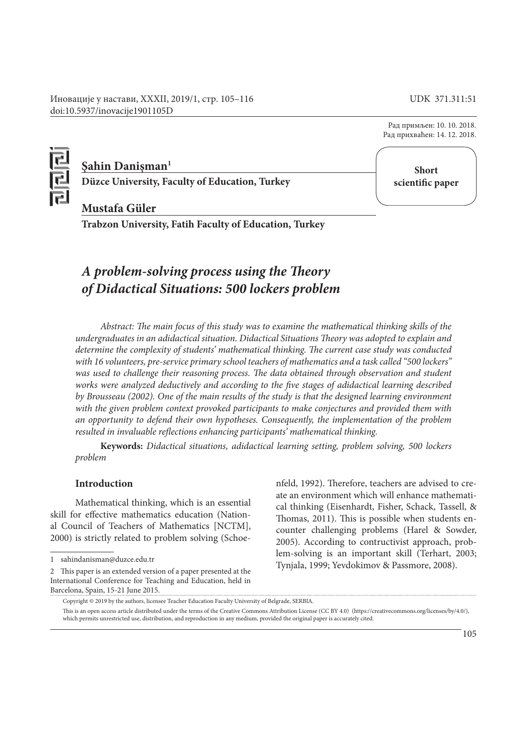Иновације у настави, XXXII, 2019/1, стр. 105–116 UDK 371.311:51 doi:10.5937/inovacije1901105D

> Рад примљен: 10. 10. 2018. Рад прихваћен: 14. 12. 2018.



# **Şahin Danişman1**

**Düzce University, Faculty of Education, Turkey**

**Short scientific paper**

# **Mustafa Güler**

**Trabzon University, Fatih Faculty of Education, Turkey**

# *A problem-solving process using the Theory of Didactical Situations: 500 lockers problem*

*Abstract: The main focus of this study was to examine the mathematical thinking skills of the undergraduates in an adidactical situation. Didactical Situations Theory was adopted to explain and determine the complexity of students' mathematical thinking. The current case study was conducted with 16 volunteers, pre-service primary school teachers of mathematics and a task called "500 lockers"*  was used to challenge their reasoning process. The data obtained through observation and student *works were analyzed deductively and according to the five stages of adidactical learning described by Brousseau (2002). One of the main results of the study is that the designed learning environment with the given problem context provoked participants to make conjectures and provided them with an opportunity to defend their own hypotheses. Consequently, the implementation of the problem resulted in invaluable reflections enhancing participants' mathematical thinking.*

**Keywords:** *Didactical situations, adidactical learning setting, problem solving, 500 lockers problem*

## **Introduction**

Mathematical thinking, which is an essential skill for effective mathematics education (National Council of Teachers of Mathematics [NCTM], 2000) is strictly related to problem solving (Schoenfeld, 1992). Therefore, teachers are advised to create an environment which will enhance mathematical thinking (Eisenhardt, Fisher, Schack, Tassell, & Thomas, 2011). This is possible when students encounter challenging problems (Harel & Sowder, 2005). According to contructivist approach, problem-solving is an important skill (Terhart, 2003; Tynjala, 1999; Yevdokimov & Passmore, 2008).

<sup>1</sup> sahindanisman@duzce.edu.tr

<sup>2</sup> This paper is an extended version of a paper presented at the International Conference for Teaching and Education, held in Barcelona, Spain, 15-21 June 2015.

Copyright © 2019 by the authors, licensee Teacher Education Faculty University of Belgrade, SERBIA. This is an open access article distributed under the terms of the Creative Commons Attribution License (CC BY 4.0) (https://creativecommons.org/licenses/by/4.0/), which permits unrestricted use, distribution, and reproduction in any medium, provided the original paper is accurately cited.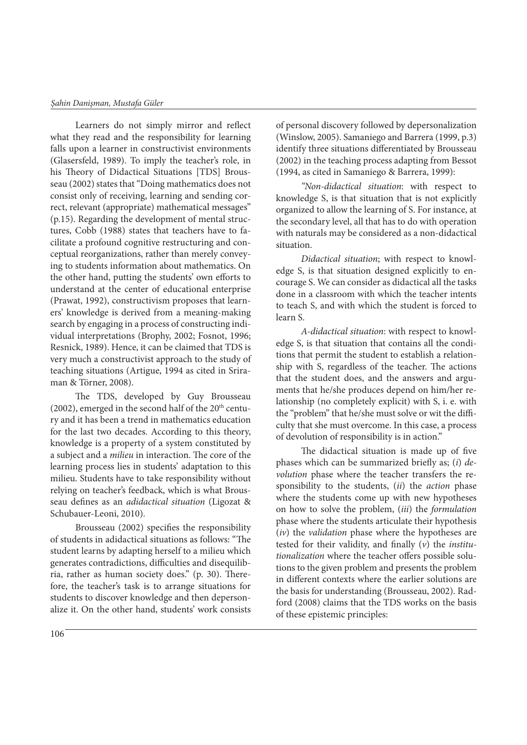#### *Şahin Danişman, Mustafa Güler*

Learners do not simply mirror and reflect what they read and the responsibility for learning falls upon a learner in constructivist environments (Glasersfeld, 1989). To imply the teacher's role, in his Theory of Didactical Situations [TDS] Brousseau (2002) states that "Doing mathematics does not consist only of receiving, learning and sending correct, relevant (appropriate) mathematical messages" (p.15). Regarding the development of mental structures, Cobb (1988) states that teachers have to facilitate a profound cognitive restructuring and conceptual reorganizations, rather than merely conveying to students information about mathematics. On the other hand, putting the students' own efforts to understand at the center of educational enterprise (Prawat, 1992), constructivism proposes that learners' knowledge is derived from a meaning-making search by engaging in a process of constructing individual interpretations (Brophy, 2002; Fosnot, 1996; Resnick, 1989). Hence, it can be claimed that TDS is very much a constructivist approach to the study of teaching situations (Artigue, 1994 as cited in Sriraman & Törner, 2008).

The TDS, developed by Guy Brousseau (2002), emerged in the second half of the  $20<sup>th</sup>$  century and it has been a trend in mathematics education for the last two decades. According to this theory, knowledge is a property of a system constituted by a subject and a *milieu* in interaction. The core of the learning process lies in students' adaptation to this milieu. Students have to take responsibility without relying on teacher's feedback, which is what Brousseau defines as an *adidactical situation* (Ligozat & Schubauer-Leoni, 2010).

Brousseau (2002) specifies the responsibility of students in adidactical situations as follows: "The student learns by adapting herself to a milieu which generates contradictions, difficulties and disequilibria, rather as human society does." (p. 30). Therefore, the teacher's task is to arrange situations for students to discover knowledge and then depersonalize it. On the other hand, students' work consists of personal discovery followed by depersonalization (Winslow, 2005). Samaniego and Barrera (1999, p.3) identify three situations differentiated by Brousseau (2002) in the teaching process adapting from Bessot (1994, as cited in Samaniego & Barrera, 1999):

*"Non-didactical situation*: with respect to knowledge S, is that situation that is not explicitly organized to allow the learning of S. For instance, at the secondary level, all that has to do with operation with naturals may be considered as a non-didactical situation.

*Didactical situation*; with respect to knowledge S, is that situation designed explicitly to encourage S. We can consider as didactical all the tasks done in a classroom with which the teacher intents to teach S, and with which the student is forced to learn S.

*A-didactical situation*: with respect to knowledge S, is that situation that contains all the conditions that permit the student to establish a relationship with S, regardless of the teacher. The actions that the student does, and the answers and arguments that he/she produces depend on him/her relationship (no completely explicit) with S, i. e. with the "problem" that he/she must solve or wit the difficulty that she must overcome. In this case, a process of devolution of responsibility is in action."

The didactical situation is made up of five phases which can be summarized briefly as; (*i*) *devolution* phase where the teacher transfers the responsibility to the students, (*ii*) the *action* phase where the students come up with new hypotheses on how to solve the problem, (*iii*) the *formulation*  phase where the students articulate their hypothesis (*iv*) the *validation* phase where the hypotheses are tested for their validity, and finally (*v*) the *institutionalization* where the teacher offers possible solutions to the given problem and presents the problem in different contexts where the earlier solutions are the basis for understanding (Brousseau, 2002). Radford (2008) claims that the TDS works on the basis of these epistemic principles: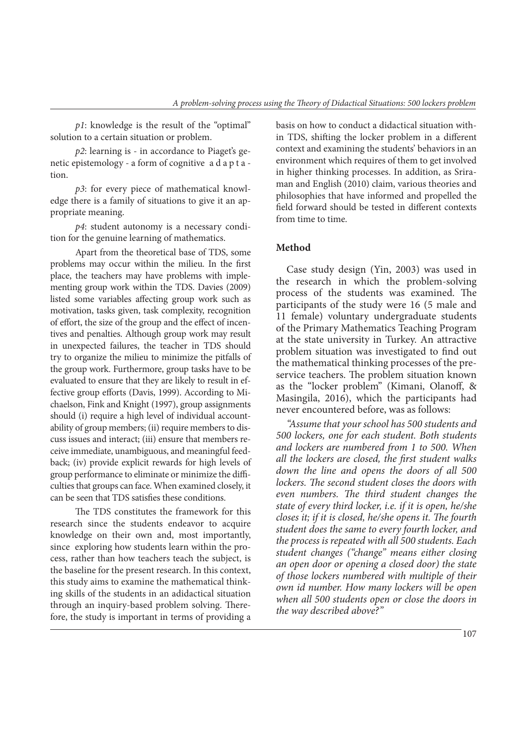*p1*: knowledge is the result of the "optimal" solution to a certain situation or problem.

*p2*: learning is - in accordance to Piaget's genetic epistemology - a form of cognitive a d a p t a tion.

*p3*: for every piece of mathematical knowledge there is a family of situations to give it an appropriate meaning.

*p4*: student autonomy is a necessary condition for the genuine learning of mathematics.

Apart from the theoretical base of TDS, some problems may occur within the milieu. In the first place, the teachers may have problems with implementing group work within the TDS. Davies (2009) listed some variables affecting group work such as motivation, tasks given, task complexity, recognition of effort, the size of the group and the effect of incentives and penalties. Although group work may result in unexpected failures, the teacher in TDS should try to organize the milieu to minimize the pitfalls of the group work. Furthermore, group tasks have to be evaluated to ensure that they are likely to result in effective group efforts (Davis, 1999). According to Michaelson, Fink and Knight (1997), group assignments should (i) require a high level of individual accountability of group members; (ii) require members to discuss issues and interact; (iii) ensure that members receive immediate, unambiguous, and meaningful feedback; (iv) provide explicit rewards for high levels of group performance to eliminate or minimize the difficulties that groups can face. When examined closely, it can be seen that TDS satisfies these conditions.

The TDS constitutes the framework for this research since the students endeavor to acquire knowledge on their own and, most importantly, since exploring how students learn within the process, rather than how teachers teach the subject, is the baseline for the present research. In this context, this study aims to examine the mathematical thinking skills of the students in an adidactical situation through an inquiry-based problem solving. Therefore, the study is important in terms of providing a basis on how to conduct a didactical situation within TDS, shifting the locker problem in a different context and examining the students' behaviors in an environment which requires of them to get involved in higher thinking processes. In addition, as Sriraman and English (2010) claim, various theories and philosophies that have informed and propelled the field forward should be tested in different contexts from time to time.

## **Method**

Case study design (Yin, 2003) was used in the research in which the problem-solving process of the students was examined. The participants of the study were 16 (5 male and 11 female) voluntary undergraduate students of the Primary Mathematics Teaching Program at the state university in Turkey. An attractive problem situation was investigated to find out the mathematical thinking processes of the preservice teachers. The problem situation known as the "locker problem" (Kimani, Olanoff, & Masingila, 2016), which the participants had never encountered before, was as follows:

*"Assume that your school has 500 students and 500 lockers, one for each student. Both students and lockers are numbered from 1 to 500. When all the lockers are closed, the first student walks down the line and opens the doors of all 500 lockers. The second student closes the doors with even numbers. The third student changes the state of every third locker, i.e. if it is open, he/she closes it; if it is closed, he/she opens it. The fourth student does the same to every fourth locker, and the process is repeated with all 500 students. Each student changes ("change" means either closing an open door or opening a closed door) the state of those lockers numbered with multiple of their own id number. How many lockers will be open when all 500 students open or close the doors in the way described above?"*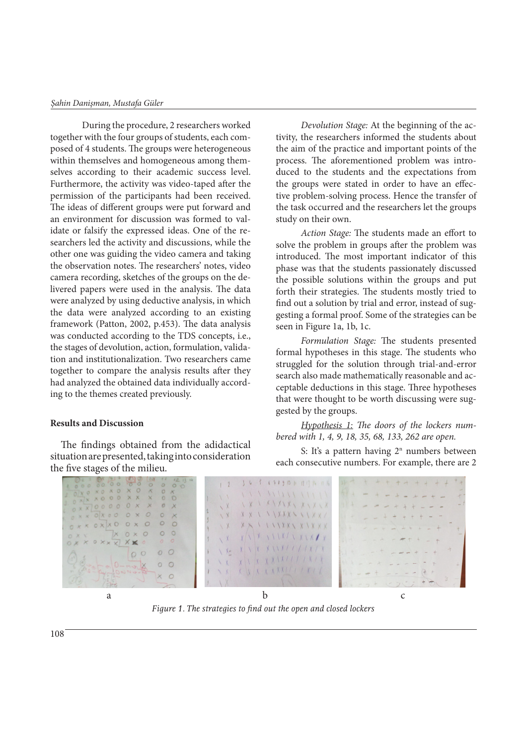During the procedure, 2 researchers worked together with the four groups of students, each composed of 4 students. The groups were heterogeneous within themselves and homogeneous among themselves according to their academic success level. Furthermore, the activity was video-taped after the permission of the participants had been received. The ideas of different groups were put forward and an environment for discussion was formed to validate or falsify the expressed ideas. One of the researchers led the activity and discussions, while the other one was guiding the video camera and taking the observation notes. The researchers' notes, video camera recording, sketches of the groups on the delivered papers were used in the analysis. The data were analyzed by using deductive analysis, in which the data were analyzed according to an existing framework (Patton, 2002, p.453). The data analysis was conducted according to the TDS concepts, i.e., the stages of devolution, action, formulation, validation and institutionalization. Two researchers came together to compare the analysis results after they had analyzed the obtained data individually according to the themes created previously.

## **Results and Discussion**

The findings obtained from the adidactical situation are presented, taking into consideration the five stages of the milieu.

*Devolution Stage:* At the beginning of the activity, the researchers informed the students about the aim of the practice and important points of the process. The aforementioned problem was introduced to the students and the expectations from the groups were stated in order to have an effective problem-solving process. Hence the transfer of the task occurred and the researchers let the groups study on their own.

*Action Stage:* The students made an effort to solve the problem in groups after the problem was introduced. The most important indicator of this phase was that the students passionately discussed the possible solutions within the groups and put forth their strategies. The students mostly tried to find out a solution by trial and error, instead of suggesting a formal proof. Some of the strategies can be seen in Figure 1a, 1b, 1c.

*Formulation Stage:* The students presented formal hypotheses in this stage. The students who struggled for the solution through trial-and-error search also made mathematically reasonable and acceptable deductions in this stage. Three hypotheses that were thought to be worth discussing were suggested by the groups.

*Hypothesis 1: The doors of the lockers numbered with 1, 4, 9, 18, 35, 68, 133, 262 are open.*

S: It's a pattern having  $2<sup>n</sup>$  numbers between each consecutive numbers. For example, there are 2



*Figure 1. The strategies to find out the open and closed lockers*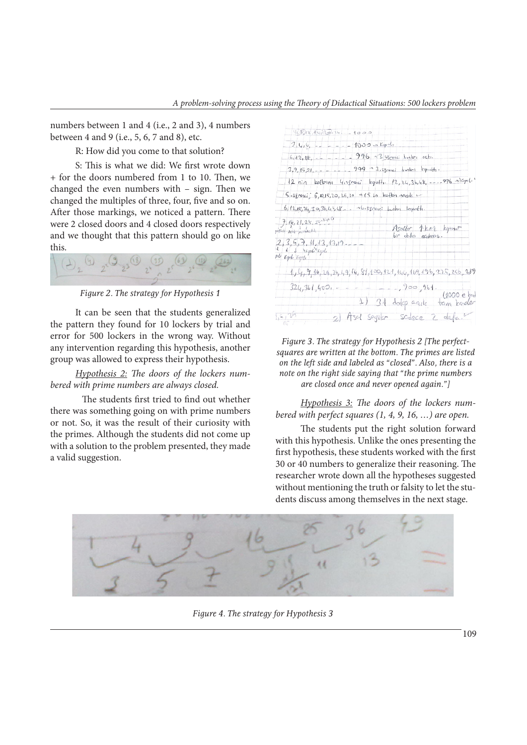numbers between 1 and 4 (i.e., 2 and 3), 4 numbers between 4 and 9 (i.e., 5, 6, 7 and 8), etc.

R: How did you come to that solution?

S: This is what we did: We first wrote down + for the doors numbered from 1 to 10. Then, we changed the even numbers with – sign. Then we changed the multiples of three, four, five and so on. After those markings, we noticed a pattern. There were 2 closed doors and 4 closed doors respectively and we thought that this pattern should go on like this.



*Figure 2. The strategy for Hypothesis 1*

It can be seen that the students generalized the pattern they found for 10 lockers by trial and error for 500 lockers in the wrong way. Without any intervention regarding this hypothesis, another group was allowed to express their hypothesis.

*Hypothesis 2: The doors of the lockers numbered with prime numbers are always closed.* 

The students first tried to find out whether there was something going on with prime numbers or not. So, it was the result of their curiosity with the primes. Although the students did not come up with a solution to the problem presented, they made a valid suggestion.

| $4000.1514 - 1000$    |                                                                           |
|-----------------------|---------------------------------------------------------------------------|
| $24.6 - -$            | $1000 - Kp$ d.                                                            |
| $6,42,18, -1$         | $-996 - 3.55$ renci Lunları octu.                                         |
| $3, 9, 15, 21, - -$   | $999 - 3.5$ respect bunker Equality.                                      |
|                       | 12 nin kattolni 4.sinenci kgatti. 12, 24, 36,48, ---- 996 mlcpeli         |
|                       | $5.55$ reki $5.10.15.20.15.30 - 15.10$ katları ragik v                    |
|                       | $6, 12, 15, 24, 30, 36, 4, 48 - 10, 55$ ere; button leepoth.              |
| 7.14,21,28,35.140     |                                                                           |
| postal Acht Actingfil | Asaller 1-ker kopinir<br>bir obha agilopuz.                               |
|                       |                                                                           |
|                       | $1, 4, 9, 16, 15, 15, 49, 44, 81, 100, 121, 144, 169, 196, 225, 256, 289$ |
| $324,361,400 = -$     | $-1,900,961.$                                                             |
|                       | (1000e)<br>1) 31 dolp agile tam kader                                     |
| 1.5, 24               | 2) Asel Seyilor Schoce 2 defect                                           |

*Figure 3. The strategy for Hypothesis 2 [The perfectsquares are written at the bottom. The primes are listed on the left side and labeled as "closed". Also, there is a note on the right side saying that "the prime numbers are closed once and never opened again."]*

*Hypothesis 3: The doors of the lockers numbered with perfect squares (1, 4, 9, 16, …) are open.*

The students put the right solution forward with this hypothesis. Unlike the ones presenting the first hypothesis, these students worked with the first 30 or 40 numbers to generalize their reasoning. The researcher wrote down all the hypotheses suggested without mentioning the truth or falsity to let the students discuss among themselves in the next stage.



*Figure 4. The strategy for Hypothesis 3*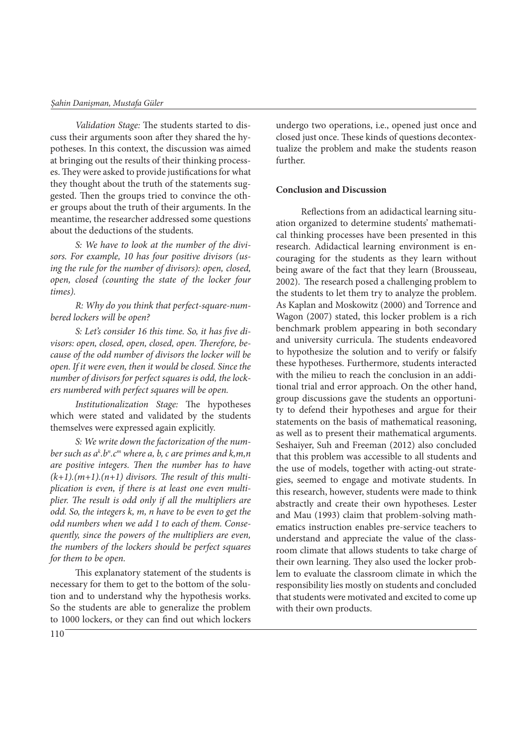*Validation Stage:* The students started to discuss their arguments soon after they shared the hypotheses. In this context, the discussion was aimed at bringing out the results of their thinking processes. They were asked to provide justifications for what they thought about the truth of the statements suggested. Then the groups tried to convince the other groups about the truth of their arguments. In the meantime, the researcher addressed some questions about the deductions of the students.

*S: We have to look at the number of the divisors. For example, 10 has four positive divisors (using the rule for the number of divisors): open, closed, open, closed (counting the state of the locker four times).* 

*R: Why do you think that perfect-square-numbered lockers will be open?*

*S: Let's consider 16 this time. So, it has five divisors: open, closed, open, closed, open. Therefore, because of the odd number of divisors the locker will be open. If it were even, then it would be closed. Since the number of divisors for perfect squares is odd, the lockers numbered with perfect squares will be open.* 

*Institutionalization Stage:* The hypotheses which were stated and validated by the students themselves were expressed again explicitly.

*S: We write down the factorization of the num*ber such as a<sup>k</sup>.b<sup>n</sup>.c<sup>m</sup> where a, b, c are primes and k,m,n *are positive integers. Then the number has to have*   $(k+1)$ *(m+1).*(*n+1)* divisors. The result of this multi*plication is even, if there is at least one even multiplier. The result is odd only if all the multipliers are odd. So, the integers k, m, n have to be even to get the odd numbers when we add 1 to each of them. Consequently, since the powers of the multipliers are even, the numbers of the lockers should be perfect squares for them to be open.*

This explanatory statement of the students is necessary for them to get to the bottom of the solution and to understand why the hypothesis works. So the students are able to generalize the problem to 1000 lockers, or they can find out which lockers undergo two operations, i.e., opened just once and closed just once. These kinds of questions decontextualize the problem and make the students reason further.

#### **Conclusion and Discussion**

Reflections from an adidactical learning situation organized to determine students' mathematical thinking processes have been presented in this research. Adidactical learning environment is encouraging for the students as they learn without being aware of the fact that they learn (Brousseau, 2002). The research posed a challenging problem to the students to let them try to analyze the problem. As Kaplan and Moskowitz (2000) and Torrence and Wagon (2007) stated, this locker problem is a rich benchmark problem appearing in both secondary and university curricula. The students endeavored to hypothesize the solution and to verify or falsify these hypotheses. Furthermore, students interacted with the milieu to reach the conclusion in an additional trial and error approach. On the other hand, group discussions gave the students an opportunity to defend their hypotheses and argue for their statements on the basis of mathematical reasoning, as well as to present their mathematical arguments. Seshaiyer, Suh and Freeman (2012) also concluded that this problem was accessible to all students and the use of models, together with acting-out strategies, seemed to engage and motivate students. In this research, however, students were made to think abstractly and create their own hypotheses. Lester and Mau (1993) claim that problem-solving mathematics instruction enables pre-service teachers to understand and appreciate the value of the classroom climate that allows students to take charge of their own learning. They also used the locker problem to evaluate the classroom climate in which the responsibility lies mostly on students and concluded that students were motivated and excited to come up with their own products.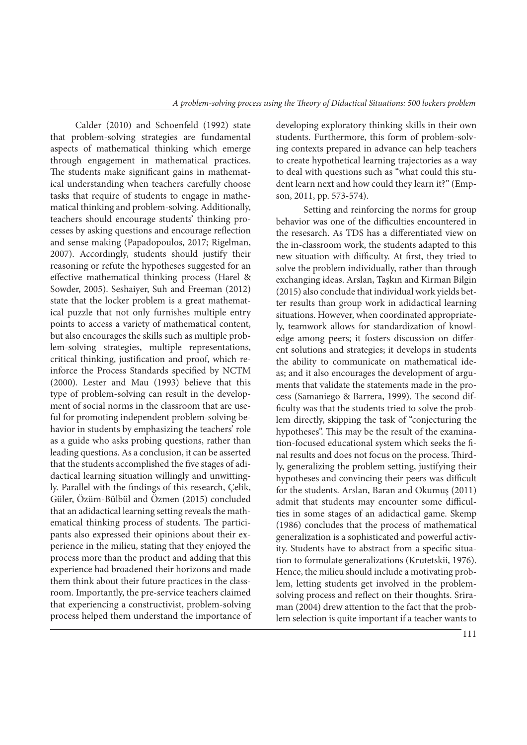Calder (2010) and Schoenfeld (1992) state that problem-solving strategies are fundamental aspects of mathematical thinking which emerge through engagement in mathematical practices. The students make significant gains in mathematical understanding when teachers carefully choose tasks that require of students to engage in mathematical thinking and problem-solving. Additionally, teachers should encourage students' thinking processes by asking questions and encourage reflection and sense making (Papadopoulos, 2017; Rigelman, 2007). Accordingly, students should justify their reasoning or refute the hypotheses suggested for an effective mathematical thinking process (Harel & Sowder, 2005). Seshaiyer, Suh and Freeman (2012) state that the locker problem is a great mathematical puzzle that not only furnishes multiple entry points to access a variety of mathematical content, but also encourages the skills such as multiple problem-solving strategies, multiple representations, critical thinking, justification and proof, which reinforce the Process Standards specified by NCTM (2000). Lester and Mau (1993) believe that this type of problem-solving can result in the development of social norms in the classroom that are useful for promoting independent problem-solving behavior in students by emphasizing the teachers' role as a guide who asks probing questions, rather than leading questions. As a conclusion, it can be asserted that the students accomplished the five stages of adidactical learning situation willingly and unwittingly. Parallel with the findings of this research, Çelik, Güler, Özüm-Bülbül and Özmen (2015) concluded that an adidactical learning setting reveals the mathematical thinking process of students. The participants also expressed their opinions about their experience in the milieu, stating that they enjoyed the process more than the product and adding that this experience had broadened their horizons and made them think about their future practices in the classroom. Importantly, the pre-service teachers claimed that experiencing a constructivist, problem-solving process helped them understand the importance of developing exploratory thinking skills in their own students. Furthermore, this form of problem-solving contexts prepared in advance can help teachers to create hypothetical learning trajectories as a way to deal with questions such as "what could this student learn next and how could they learn it?" (Empson, 2011, pp. 573-574).

 Setting and reinforcing the norms for group behavior was one of the difficulties encountered in the resesarch. As TDS has a differentiated view on the in-classroom work, the students adapted to this new situation with difficulty. At first, they tried to solve the problem individually, rather than through exchanging ideas. Arslan, Taşkın and Kirman Bilgin (2015) also conclude that individual work yields better results than group work in adidactical learning situations. However, when coordinated appropriately, teamwork allows for standardization of knowledge among peers; it fosters discussion on different solutions and strategies; it develops in students the ability to communicate on mathematical ideas; and it also encourages the development of arguments that validate the statements made in the process (Samaniego & Barrera, 1999). The second difficulty was that the students tried to solve the problem directly, skipping the task of "conjecturing the hypotheses". This may be the result of the examination-focused educational system which seeks the final results and does not focus on the process. Thirdly, generalizing the problem setting, justifying their hypotheses and convincing their peers was difficult for the students. Arslan, Baran and Okumuş (2011) admit that students may encounter some difficulties in some stages of an adidactical game. Skemp (1986) concludes that the process of mathematical generalization is a sophisticated and powerful activity. Students have to abstract from a specific situation to formulate generalizations (Krutetskii, 1976). Hence, the milieu should include a motivating problem, letting students get involved in the problemsolving process and reflect on their thoughts. Sriraman (2004) drew attention to the fact that the problem selection is quite important if a teacher wants to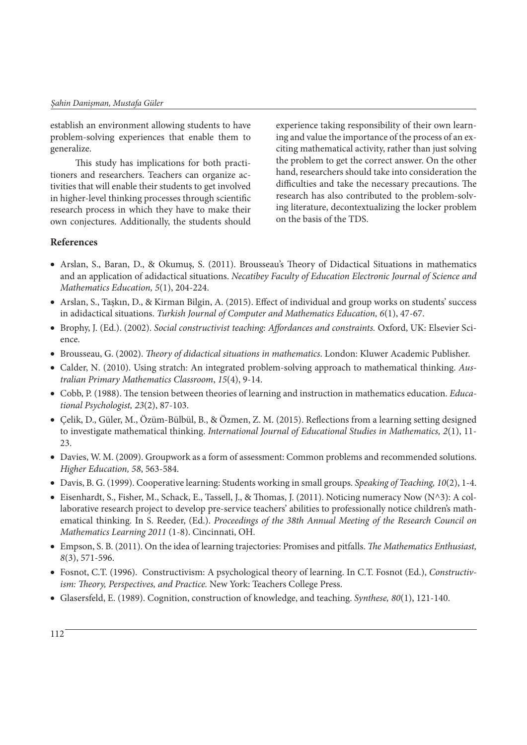establish an environment allowing students to have problem-solving experiences that enable them to generalize.

This study has implications for both practitioners and researchers. Teachers can organize activities that will enable their students to get involved in higher-level thinking processes through scientific research process in which they have to make their own conjectures. Additionally, the students should experience taking responsibility of their own learning and value the importance of the process of an exciting mathematical activity, rather than just solving the problem to get the correct answer. On the other hand, researchers should take into consideration the difficulties and take the necessary precautions. The research has also contributed to the problem-solving literature, decontextualizing the locker problem on the basis of the TDS.

# **References**

- Arslan, S., Baran, D., & Okumuş, S. (2011). Brousseau's Theory of Didactical Situations in mathematics and an application of adidactical situations. *Necatibey Faculty of Education Electronic Journal of Science and Mathematics Education, 5*(1), 204-224.
- Arslan, S., Taşkın, D., & Kirman Bilgin, A. (2015). Effect of individual and group works on students' success in adidactical situations. *Turkish Journal of Computer and Mathematics Education, 6*(1), 47-67.
- Brophy, J. (Ed.). (2002). *Social constructivist teaching: Affordances and constraints.* Oxford, UK: Elsevier Science.
- Brousseau, G. (2002). *Theory of didactical situations in mathematics*. London: Kluwer Academic Publisher.
- Calder, N. (2010). Using stratch: An integrated problem-solving approach to mathematical thinking. *Australian Primary Mathematics Classroom*, *15*(4), 9-14.
- Cobb, P. (1988). The tension between theories of learning and instruction in mathematics education. *Educational Psychologist, 23*(2), 87-103.
- Çelik, D., Güler, M., Özüm-Bülbül, B., & Özmen, Z. M. (2015). Reflections from a learning setting designed to investigate mathematical thinking. *International Journal of Educational Studies in Mathematics, 2*(1), 11-  $23$
- Davies, W. M. (2009). Groupwork as a form of assessment: Common problems and recommended solutions. *Higher Education, 58*, 563-584.
- Davis, B. G. (1999). Cooperative learning: Students working in small groups. *Speaking of Teaching, 10*(2), 1-4.
- Eisenhardt, S., Fisher, M., Schack, E., Tassell, J., & Thomas, J. (2011). Noticing numeracy Now (N^3): A collaborative research project to develop pre-service teachers' abilities to professionally notice children's mathematical thinking. In S. Reeder, (Ed.). *Proceedings of the 38th Annual Meeting of the Research Council on Mathematics Learning 2011* (1-8). Cincinnati, OH.
- Empson, S. B. (2011). On the idea of learning trajectories: Promises and pitfalls. *The Mathematics Enthusiast, 8*(3), 571-596.
- Fosnot, C.T. (1996). Constructivism: A psychological theory of learning. In C.T. Fosnot (Ed.), *Constructivism: Theory, Perspectives, and Practice.* New York: Teachers College Press.
- Glasersfeld, E. (1989). Cognition, construction of knowledge, and teaching. *Synthese, 80*(1), 121-140.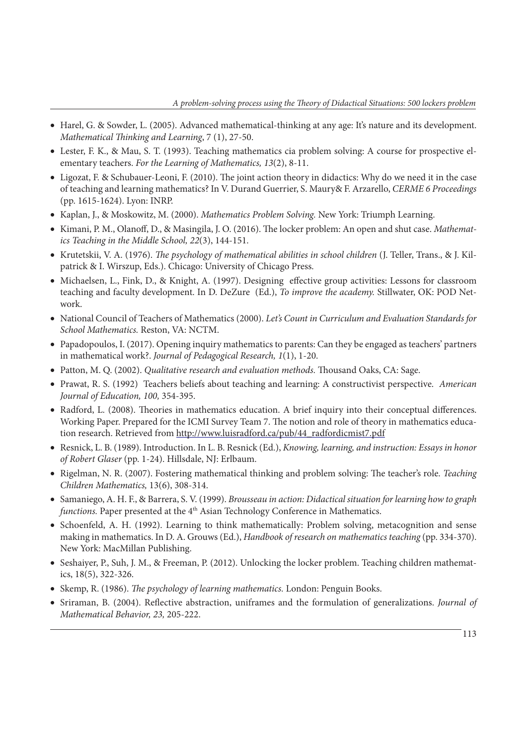- Harel, G. & Sowder, L. (2005). Advanced mathematical-thinking at any age: It's nature and its development. *Mathematical Thinking and Learning*, 7 (1), 27-50.
- Lester, F. K., & Mau, S. T. (1993). Teaching mathematics cia problem solving: A course for prospective elementary teachers. *For the Learning of Mathematics, 13*(2), 8-11.
- Ligozat, F. & Schubauer-Leoni, F. (2010). The joint action theory in didactics: Why do we need it in the case of teaching and learning mathematics? In V. Durand Guerrier, S. Maury& F. Arzarello, *CERME 6 Proceedings* (pp. 1615-1624). Lyon: INRP.
- Kaplan, J., & Moskowitz, M. (2000). *Mathematics Problem Solving.* New York: Triumph Learning.
- Kimani, P. M., Olanoff, D., & Masingila, J. O. (2016). The locker problem: An open and shut case. *Mathematics Teaching in the Middle School, 22*(3), 144-151.
- Krutetskii, V. A. (1976). *The psychology of mathematical abilities in school children* (J. Teller, Trans., & J. Kilpatrick & I. Wirszup, Eds.). Chicago: University of Chicago Press.
- Michaelsen, L., Fink, D., & Knight, A. (1997). Designing effective group activities: Lessons for classroom teaching and faculty development. In D. DeZure (Ed.), *To improve the academy.* Stillwater, OK: POD Network.
- National Council of Teachers of Mathematics (2000). *Let's Count in Curriculum and Evaluation Standards for School Mathematics.* Reston, VA: NCTM.
- Papadopoulos, I. (2017). Opening inquiry mathematics to parents: Can they be engaged as teachers' partners in mathematical work?. *Journal of Pedagogical Research, 1*(1), 1-20.
- Patton, M. Q. (2002). *Qualitative research and evaluation methods.* Thousand Oaks, CA: Sage.
- Prawat, R. S. (1992) Teachers beliefs about teaching and learning: A constructivist perspective. *American Journal of Education, 100,* 354-395.
- Radford, L. (2008). Theories in mathematics education. A brief inquiry into their conceptual differences. Working Paper. Prepared for the ICMI Survey Team 7. The notion and role of theory in mathematics education research. Retrieved from http://www.luisradford.ca/pub/44\_radfordicmist7.pdf
- Resnick, L. B. (1989). Introduction. In L. B. Resnick (Ed.), *Knowing, learning, and instruction: Essays in honor of Robert Glaser* (pp. 1-24). Hillsdale, NJ: Erlbaum.
- Rigelman, N. R. (2007). Fostering mathematical thinking and problem solving: The teacher's role. *Teaching Children Mathematics,* 13(6), 308-314.
- Samaniego, A. H. F., & Barrera, S. V. (1999). *Brousseau in action: Didactical situation for learning how to graph functions.* Paper presented at the 4<sup>th</sup> Asian Technology Conference in Mathematics.
- Schoenfeld, A. H. (1992). Learning to think mathematically: Problem solving, metacognition and sense making in mathematics. In D. A. Grouws (Ed.), *Handbook of research on mathematics teaching* (pp. 334-370). New York: MacMillan Publishing.
- Seshaiyer, P., Suh, J. M., & Freeman, P. (2012). Unlocking the locker problem. Teaching children mathematics, 18(5), 322-326.
- Skemp, R. (1986). *The psychology of learning mathematics.* London: Penguin Books.
- Sriraman, B. (2004). Reflective abstraction, uniframes and the formulation of generalizations. *Journal of Mathematical Behavior, 23,* 205-222.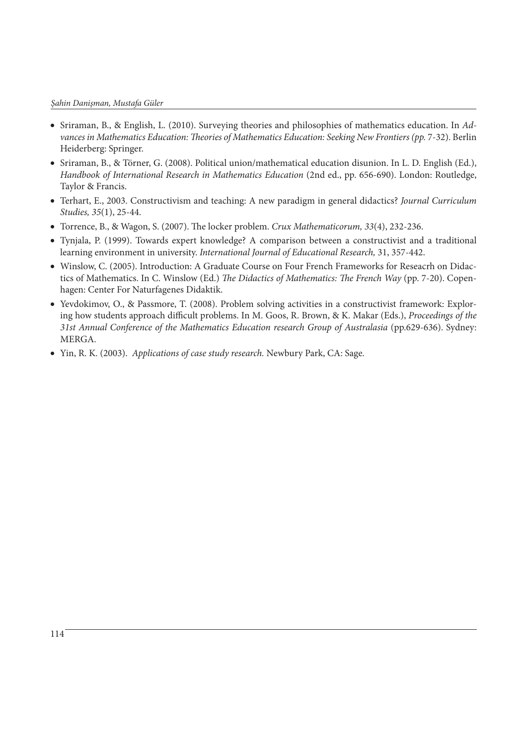#### *Şahin Danişman, Mustafa Güler*

- Sriraman, B., & English, L. (2010). Surveying theories and philosophies of mathematics education. In *Advances in Mathematics Education: Theories of Mathematics Education: Seeking New Frontiers (pp.* 7-32). Berlin Heiderberg: Springer.
- Sriraman, B., & Törner, G. (2008). Political union/mathematical education disunion. In L. D. English (Ed.), *Handbook of International Research in Mathematics Education* (2nd ed., pp. 656-690). London: Routledge, Taylor & Francis.
- Terhart, E., 2003. Constructivism and teaching: A new paradigm in general didactics? *Journal Curriculum Studies, 35*(1), 25-44.
- Torrence, B., & Wagon, S. (2007). The locker problem. *Crux Mathematicorum, 33*(4), 232-236.
- Tynjala, P. (1999). Towards expert knowledge? A comparison between a constructivist and a traditional learning environment in university. *International Journal of Educational Research,* 31, 357-442.
- Winslow, C. (2005). Introduction: A Graduate Course on Four French Frameworks for Reseacrh on Didactics of Mathematics. In C. Winslow (Ed.) *The Didactics of Mathematics: The French Way* (pp. 7-20). Copenhagen: Center For Naturfagenes Didaktik.
- Yevdokimov, O., & Passmore, T. (2008). Problem solving activities in a constructivist framework: Exploring how students approach difficult problems. In M. Goos, R. Brown, & K. Makar (Eds.), *Proceedings of the 31st Annual Conference of the Mathematics Education research Group of Australasia* (pp.629-636). Sydney: MERGA.
- Yin, R. K. (2003). *Applications of case study research.* Newbury Park, CA: Sage.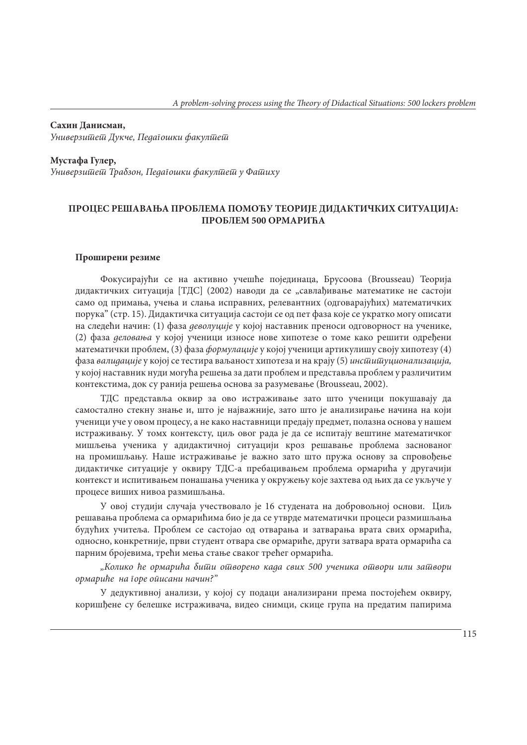**Сахин Данисман,**  *Универзитет Дукче, Педагошки факултет*

**Мустафа Гулер,**  *Универзитет Трабзон, Педагошки факултет у Фатиху* 

## **ПРОЦЕС РЕШАВАЊА ПРОБЛЕМА ПОМОЋУ ТЕОРИЈЕ ДИДАКТИЧКИХ СИТУАЦИЈА: ПРОБЛЕМ 500 ОРМАРИЋА**

#### **Проширени резиме**

Фокусирајући се на активно учешће појединаца, Брусоова (Brousseau) Теорија дидактичких ситуација [ТДС] (2002) наводи да се "савлађивање математике не састоји само од примања, учења и слања исправних, релевантних (одговарајућих) математичких порука" (стр. 15). Дидактичка ситуација састоји се од пет фаза које се укратко могу описати на следећи начин: (1) фаза *деволуције* у којој наставник преноси одговорност на ученике, (2) фаза *деловања* у којој ученици износе нове хипотезе о томе како решити одређени математички проблем, (3) фаза *формулације* у којој ученици артикулишу своју хипотезу (4) фаза *валидације* у којој се тестира ваљаност хипотеза и на крају (5) *институционализација,*  у којој наставник нуди могућа решења за дати проблем и представља проблем у различитим контекстима, док су ранија решења основа за разумевање (Brousseau, 2002).

ТДС представља оквир за ово истраживање зато што ученици покушавају да самостално стекну знање и, што је најважније, зато што је анализирање начина на који ученици уче у овом процесу, а не како наставници предају предмет, полазна основа у нашем истраживању. У томх контексту, циљ овог рада је да се испитају вештине математичког мишљења ученика у адидактичној ситуацији кроз решавање проблема заснованог на промишљању. Наше истраживање је важно зато што пружа основу за спровођење дидактичке ситуације у оквиру ТДС-а пребацивањем проблема ормарића у другачији контекст и испитивањем понашања ученика у окружењу које захтева од њих да се укључе у процесе виших нивоа размишљања.

У овој студији случаја учествовало је 16 студената на добровољној основи. Циљ решавања проблема са ормарићима био је да се утврде математички процеси размишљања будућих учитеља. Проблем се састојао од отварања и затварања врата свих ормарића, односно, конкретније, први студент отвара све ормариће, други затвара врата ормарића са парним бројевима, трећи мења стање сваког трећег ормарића.

*"Колико ће ормарића бити отворено када свих 500 ученика отвори или затвори ормариће на горе описани начин?"*

У дедуктивној анализи, у којој су подаци анализирани према постојећем оквиру, коришђене су белешке истраживача, видео снимци, скице група на предатим папирима